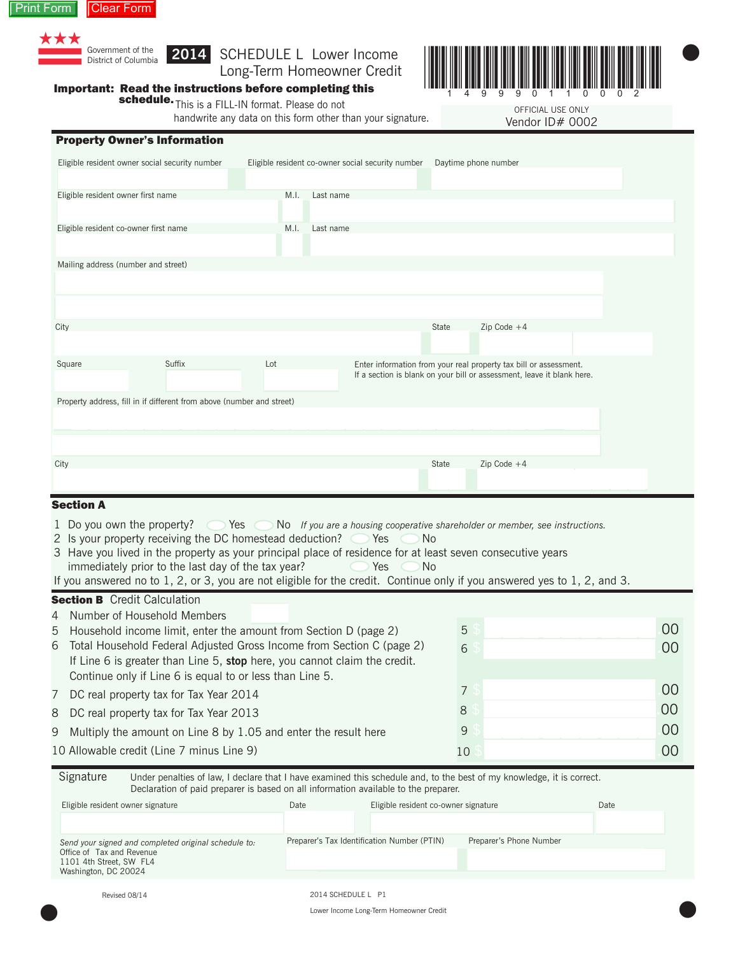



# Long-Term Homeowner Credit



 $\bullet$ 

 $\bullet$ 

OFFICIAL USE ONLY OFFICIAL USE ONLY

Vendor ID# 0002

## Important: Read the instructions before completing this

schedule. This is a FILL-IN format. Please do not

handwrite any data on this form other than your signature.

|                                       | <b>Property Owner's Information</b>            |      |           |                                                   |       |                                                                                                                                             |  |
|---------------------------------------|------------------------------------------------|------|-----------|---------------------------------------------------|-------|---------------------------------------------------------------------------------------------------------------------------------------------|--|
|                                       | Eligible resident owner social security number |      |           | Eligible resident co-owner social security number |       | Daytime phone number                                                                                                                        |  |
| Eligible resident owner first name    |                                                | M.I. | Last name |                                                   |       |                                                                                                                                             |  |
| Eligible resident co-owner first name |                                                | M.I. | Last name |                                                   |       |                                                                                                                                             |  |
| Mailing address (number and street)   |                                                |      |           |                                                   |       |                                                                                                                                             |  |
| City                                  |                                                |      |           |                                                   | State | $Zip Code +4$                                                                                                                               |  |
|                                       |                                                |      |           |                                                   |       |                                                                                                                                             |  |
| Square                                | Suffix                                         | Lot  |           |                                                   |       | Enter information from your real property tax bill or assessment.<br>If a section is blank on your bill or assessment, leave it blank here. |  |

| Property address, fill in if different from above (number and street) |       |               |  |
|-----------------------------------------------------------------------|-------|---------------|--|
|                                                                       |       |               |  |
|                                                                       |       |               |  |
| City                                                                  | State | $Zip Code +4$ |  |
|                                                                       |       |               |  |

### **Section A**

- 1 Do you own the property?  $\bigcirc$  Yes  $\bigcirc$  No *If you are a housing cooperative shareholder or member, see instructions.*
- 2 Is your property receiving the DC homestead deduction?  $\bigcirc$  Yes  $\bigcirc$  No
- 3 Have you lived in the property as your principal place of residence for at least seven consecutive years immediately prior to the last day of the tax year?  $\bullet$  Yes  $\bullet$  No
- If you answered no to 1, 2, or 3, you are not eligible for the credit. Continue only if you answered yes to 1, 2, and 3.

#### **Section B** Credit Calculation

4 Number of Household Members

| 5 Household income limit, enter the amount from Section D (page 2)        | 5  | 00 |
|---------------------------------------------------------------------------|----|----|
| 6 Total Household Federal Adjusted Gross Income from Section C (page 2)   | 6  | 00 |
| If Line 6 is greater than Line 5, stop here, you cannot claim the credit. |    |    |
| Continue only if Line 6 is equal to or less than Line 5.                  |    |    |
| 7 DC real property tax for Tax Year 2014                                  |    | 00 |
| 8 DC real property tax for Tax Year 2013                                  | 8  | 00 |
| 9 Multiply the amount on Line 8 by 1.05 and enter the result here         | 9  | 00 |
| 10 Allowable credit (Line 7 minus Line 9)                                 | 10 | 00 |

| Signature | Under penalties of law, I declare that I have examined this schedule and, to the best of my knowledge, it is correct. |
|-----------|-----------------------------------------------------------------------------------------------------------------------|
|           | Declaration of paid preparer is based on all information available to the preparer.                                   |

| Eligible resident owner signature                                                                                                    | Date | Eligible resident co-owner signature        |                         | Date |
|--------------------------------------------------------------------------------------------------------------------------------------|------|---------------------------------------------|-------------------------|------|
|                                                                                                                                      |      |                                             |                         |      |
| Send your signed and completed original schedule to:<br>Office of Tax and Revenue<br>1101 4th Street, SW FL4<br>Washington, DC 20024 |      | Preparer's Tax Identification Number (PTIN) | Preparer's Phone Number |      |

Revised 08/14

 $\bullet$